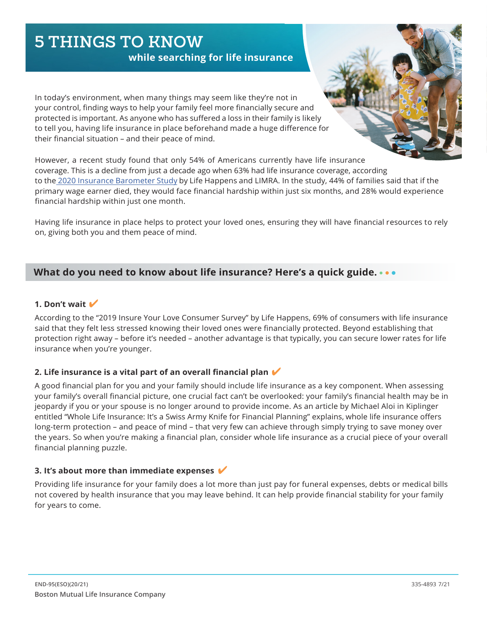# **5 THINGS TO KNOW**

**while searching for life insurance**

In today's environment, when many things may seem like they're not in your control, finding ways to help your family feel more financially secure and protected is important. As anyone who has suffered a loss in their family is likely to tell you, having life insurance in place beforehand made a huge difference for their financial situation – and their peace of mind.

However, a recent study found that only 54% of Americans currently have life insurance coverage. This is a decline from just a decade ago when 63% had life insurance coverage, according to the [2020 Insurance Barometer Study](https://lifehappens.org/press/2020-insurance-barometer-study-reveals-a-significant-decline-in-life-insurance-ownership-over-the-past-decade/) by Life Happens and LIMRA. In the study, 44% of families said that if the primary wage earner died, they would face financial hardship within just six months, and 28% would experience financial hardship within just one month.

Having life insurance in place helps to protect your loved ones, ensuring they will have financial resources to rely on, giving both you and them peace of mind.

# **What do you need to know about life insurance? Here's a quick guide.**

# **1. Don't wait**

According to the "2019 Insure Your Love Consumer Survey" by Life Happens, 69% of consumers with life insurance said that they felt less stressed knowing their loved ones were financially protected. Beyond establishing that protection right away – before it's needed – another advantage is that typically, you can secure lower rates for life insurance when you're younger.

# **2. Life insurance is a vital part of an overall financial plan**

A good financial plan for you and your family should include life insurance as a key component. When assessing your family's overall financial picture, one crucial fact can't be overlooked: your family's financial health may be in jeopardy if you or your spouse is no longer around to provide income. As an article by Michael Aloi in Kiplinger entitled "Whole Life Insurance: It's a Swiss Army Knife for Financial Planning" explains, whole life insurance offers long-term protection – and peace of mind – that very few can achieve through simply trying to save money over the years. So when you're making a financial plan, consider whole life insurance as a crucial piece of your overall financial planning puzzle.

#### **3. It's about more than immediate expenses**

Providing life insurance for your family does a lot more than just pay for funeral expenses, debts or medical bills not covered by health insurance that you may leave behind. It can help provide financial stability for your family for years to come.